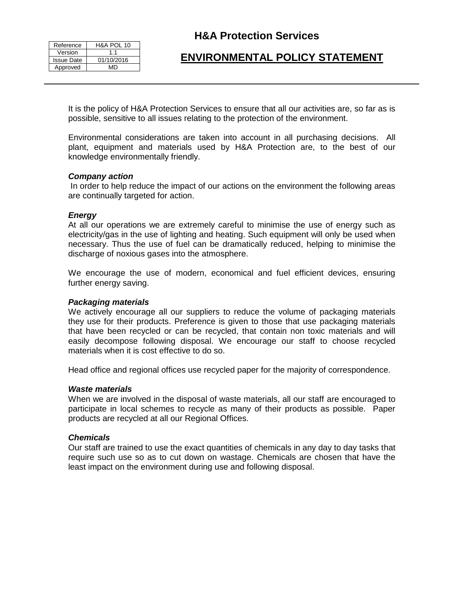| Reference         | H&A POL 10 |
|-------------------|------------|
| Version           | 11         |
| <b>Issue Date</b> | 01/10/2016 |
| Approved          | MD         |

## **H&A Protection Services**

# **ENVIRONMENTAL POLICY STATEMENT**

It is the policy of H&A Protection Services to ensure that all our activities are, so far as is possible, sensitive to all issues relating to the protection of the environment.

Environmental considerations are taken into account in all purchasing decisions. All plant, equipment and materials used by H&A Protection are, to the best of our knowledge environmentally friendly.

#### *Company action*

In order to help reduce the impact of our actions on the environment the following areas are continually targeted for action.

#### *Energy*

At all our operations we are extremely careful to minimise the use of energy such as electricity/gas in the use of lighting and heating. Such equipment will only be used when necessary. Thus the use of fuel can be dramatically reduced, helping to minimise the discharge of noxious gases into the atmosphere.

We encourage the use of modern, economical and fuel efficient devices, ensuring further energy saving.

#### *Packaging materials*

We actively encourage all our suppliers to reduce the volume of packaging materials they use for their products. Preference is given to those that use packaging materials that have been recycled or can be recycled, that contain non toxic materials and will easily decompose following disposal. We encourage our staff to choose recycled materials when it is cost effective to do so.

Head office and regional offices use recycled paper for the majority of correspondence.

#### *Waste materials*

When we are involved in the disposal of waste materials, all our staff are encouraged to participate in local schemes to recycle as many of their products as possible. Paper products are recycled at all our Regional Offices.

#### *Chemicals*

Our staff are trained to use the exact quantities of chemicals in any day to day tasks that require such use so as to cut down on wastage. Chemicals are chosen that have the least impact on the environment during use and following disposal.